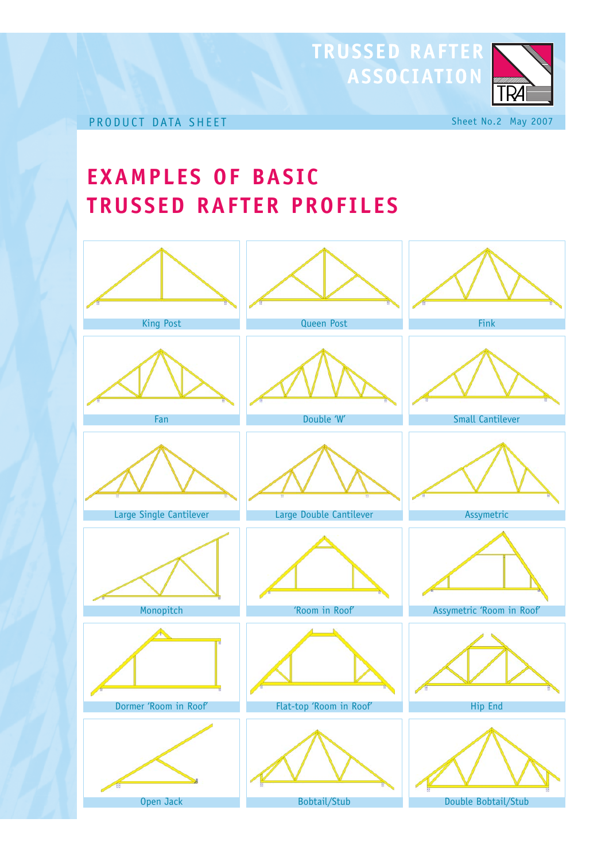

## **EXAMPLES OF BASIC TRUSSED RAFTER PROFILES**